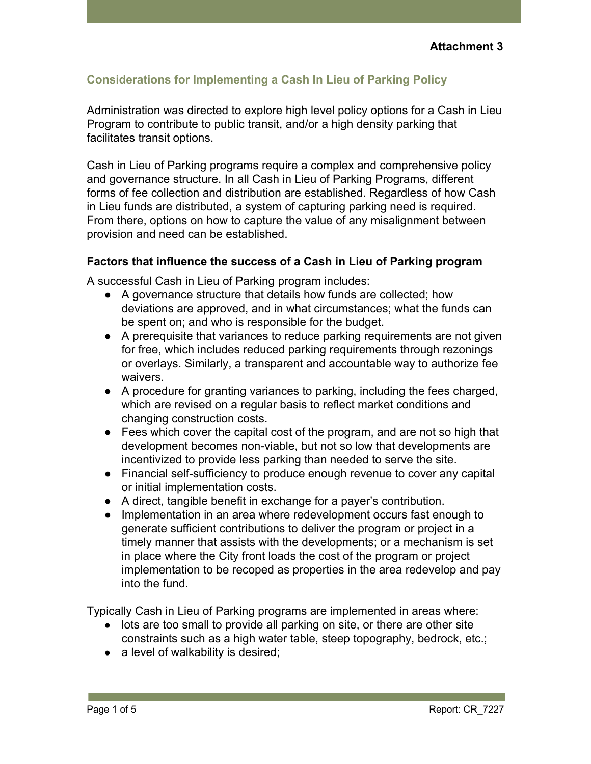# **Considerations for Implementing a Cash In Lieu of Parking Policy**

Administration was directed to explore high level policy options for a Cash in Lieu Program to contribute to public transit, and/or a high density parking that facilitates transit options.

Cash in Lieu of Parking programs require a complex and comprehensive policy and governance structure. In all Cash in Lieu of Parking Programs, different forms of fee collection and distribution are established. Regardless of how Cash in Lieu funds are distributed, a system of capturing parking need is required. From there, options on how to capture the value of any misalignment between provision and need can be established.

#### **Factors that influence the success of a Cash in Lieu of Parking program**

A successful Cash in Lieu of Parking program includes:

- A governance structure that details how funds are collected; how deviations are approved, and in what circumstances; what the funds can be spent on; and who is responsible for the budget.
- A prerequisite that variances to reduce parking requirements are not given for free, which includes reduced parking requirements through rezonings or overlays. Similarly, a transparent and accountable way to authorize fee waivers.
- A procedure for granting variances to parking, including the fees charged, which are revised on a regular basis to reflect market conditions and changing construction costs.
- Fees which cover the capital cost of the program, and are not so high that development becomes non-viable, but not so low that developments are incentivized to provide less parking than needed to serve the site.
- Financial self-sufficiency to produce enough revenue to cover any capital or initial implementation costs.
- A direct, tangible benefit in exchange for a payer's contribution.
- Implementation in an area where redevelopment occurs fast enough to generate sufficient contributions to deliver the program or project in a timely manner that assists with the developments; or a mechanism is set in place where the City front loads the cost of the program or project implementation to be recoped as properties in the area redevelop and pay into the fund.

Typically Cash in Lieu of Parking programs are implemented in areas where:

- lots are too small to provide all parking on site, or there are other site constraints such as a high water table, steep topography, bedrock, etc.;
- a level of walkability is desired;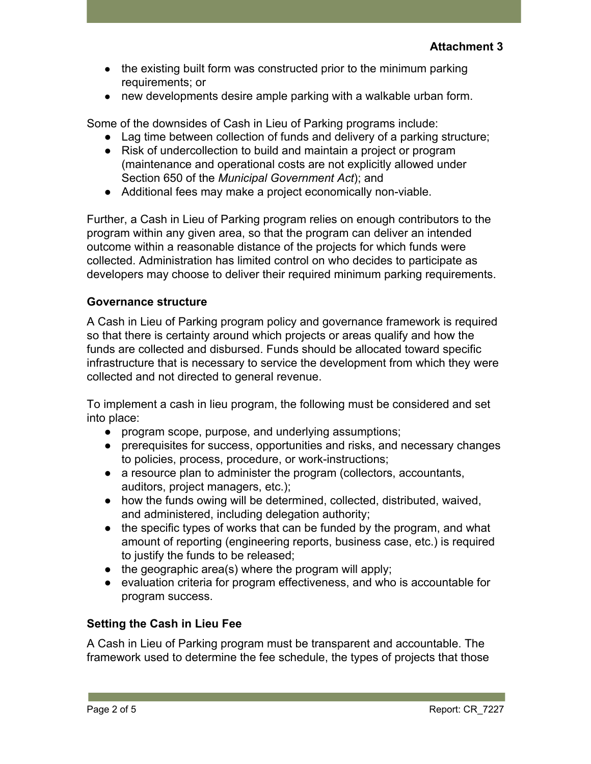- the existing built form was constructed prior to the minimum parking requirements; or
- new developments desire ample parking with a walkable urban form.

Some of the downsides of Cash in Lieu of Parking programs include:

- Lag time between collection of funds and delivery of a parking structure;
- Risk of undercollection to build and maintain a project or program (maintenance and operational costs are not explicitly allowed under Section 650 of the *Municipal Government Act*); and
- Additional fees may make a project economically non-viable.

Further, a Cash in Lieu of Parking program relies on enough contributors to the program within any given area, so that the program can deliver an intended outcome within a reasonable distance of the projects for which funds were collected. Administration has limited control on who decides to participate as developers may choose to deliver their required minimum parking requirements.

### **Governance structure**

A Cash in Lieu of Parking program policy and governance framework is required so that there is certainty around which projects or areas qualify and how the funds are collected and disbursed. Funds should be allocated toward specific infrastructure that is necessary to service the development from which they were collected and not directed to general revenue.

To implement a cash in lieu program, the following must be considered and set into place:

- program scope, purpose, and underlying assumptions;
- prerequisites for success, opportunities and risks, and necessary changes to policies, process, procedure, or work-instructions;
- a resource plan to administer the program (collectors, accountants, auditors, project managers, etc.);
- how the funds owing will be determined, collected, distributed, waived, and administered, including delegation authority;
- the specific types of works that can be funded by the program, and what amount of reporting (engineering reports, business case, etc.) is required to justify the funds to be released;
- $\bullet$  the geographic area(s) where the program will apply;
- evaluation criteria for program effectiveness, and who is accountable for program success.

# **Setting the Cash in Lieu Fee**

A Cash in Lieu of Parking program must be transparent and accountable. The framework used to determine the fee schedule, the types of projects that those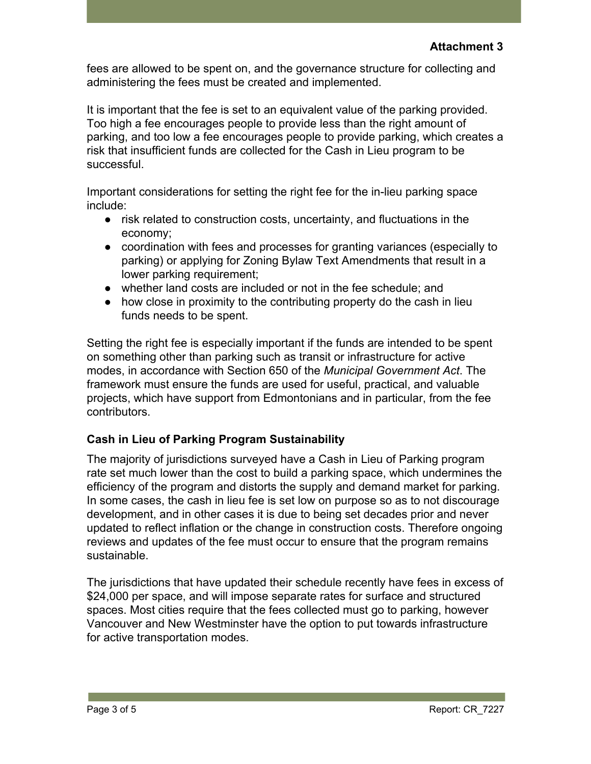fees are allowed to be spent on, and the governance structure for collecting and administering the fees must be created and implemented.

It is important that the fee is set to an equivalent value of the parking provided. Too high a fee encourages people to provide less than the right amount of parking, and too low a fee encourages people to provide parking, which creates a risk that insufficient funds are collected for the Cash in Lieu program to be successful.

Important considerations for setting the right fee for the in-lieu parking space include:

- risk related to construction costs, uncertainty, and fluctuations in the economy;
- coordination with fees and processes for granting variances (especially to parking) or applying for Zoning Bylaw Text Amendments that result in a lower parking requirement;
- whether land costs are included or not in the fee schedule; and
- how close in proximity to the contributing property do the cash in lieu funds needs to be spent.

Setting the right fee is especially important if the funds are intended to be spent on something other than parking such as transit or infrastructure for active modes, in accordance with Section 650 of the *Municipal Government Act*. The framework must ensure the funds are used for useful, practical, and valuable projects, which have support from Edmontonians and in particular, from the fee contributors.

# **Cash in Lieu of Parking Program Sustainability**

The majority of jurisdictions surveyed have a Cash in Lieu of Parking program rate set much lower than the cost to build a parking space, which undermines the efficiency of the program and distorts the supply and demand market for parking. In some cases, the cash in lieu fee is set low on purpose so as to not discourage development, and in other cases it is due to being set decades prior and never updated to reflect inflation or the change in construction costs. Therefore ongoing reviews and updates of the fee must occur to ensure that the program remains sustainable.

The jurisdictions that have updated their schedule recently have fees in excess of \$24,000 per space, and will impose separate rates for surface and structured spaces. Most cities require that the fees collected must go to parking, however Vancouver and New Westminster have the option to put towards infrastructure for active transportation modes.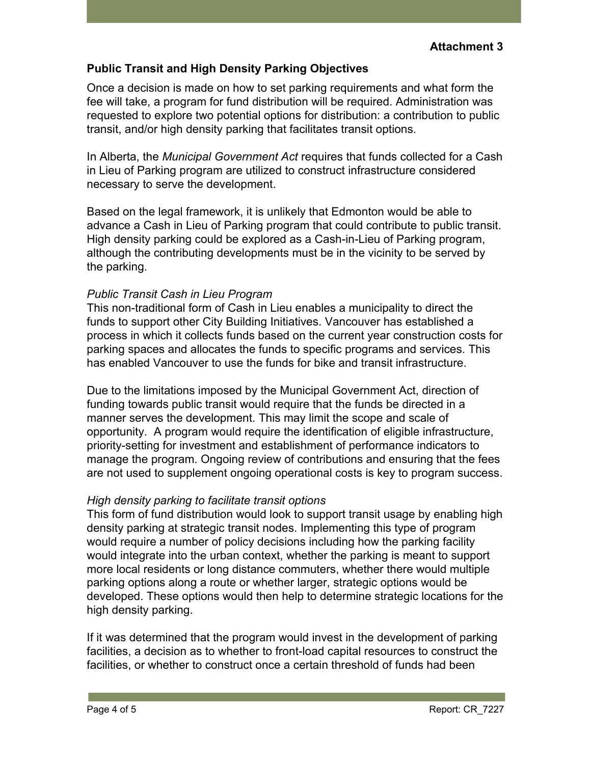#### **Public Transit and High Density Parking Objectives**

Once a decision is made on how to set parking requirements and what form the fee will take, a program for fund distribution will be required. Administration was requested to explore two potential options for distribution: a contribution to public transit, and/or high density parking that facilitates transit options.

In Alberta, the *Municipal Government Act* requires that funds collected for a Cash in Lieu of Parking program are utilized to construct infrastructure considered necessary to serve the development.

Based on the legal framework, it is unlikely that Edmonton would be able to advance a Cash in Lieu of Parking program that could contribute to public transit. High density parking could be explored as a Cash-in-Lieu of Parking program, although the contributing developments must be in the vicinity to be served by the parking.

#### *Public Transit Cash in Lieu Program*

This non-traditional form of Cash in Lieu enables a municipality to direct the funds to support other City Building Initiatives. Vancouver has established a process in which it collects funds based on the current year construction costs for parking spaces and allocates the funds to specific programs and services. This has enabled Vancouver to use the funds for bike and transit infrastructure.

Due to the limitations imposed by the Municipal Government Act, direction of funding towards public transit would require that the funds be directed in a manner serves the development. This may limit the scope and scale of opportunity. A program would require the identification of eligible infrastructure, priority-setting for investment and establishment of performance indicators to manage the program. Ongoing review of contributions and ensuring that the fees are not used to supplement ongoing operational costs is key to program success.

#### *High density parking to facilitate transit options*

This form of fund distribution would look to support transit usage by enabling high density parking at strategic transit nodes. Implementing this type of program would require a number of policy decisions including how the parking facility would integrate into the urban context, whether the parking is meant to support more local residents or long distance commuters, whether there would multiple parking options along a route or whether larger, strategic options would be developed. These options would then help to determine strategic locations for the high density parking.

If it was determined that the program would invest in the development of parking facilities, a decision as to whether to front-load capital resources to construct the facilities, or whether to construct once a certain threshold of funds had been